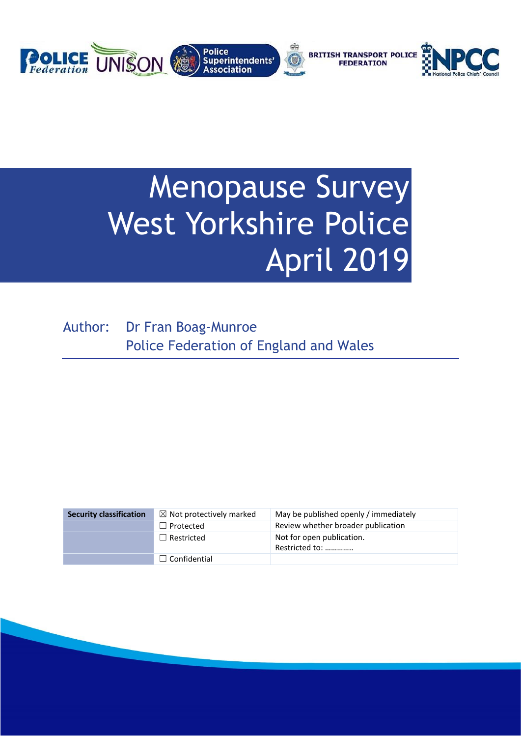

# Menopause Survey West Yorkshire Police April 2019

Author: Dr Fran Boag-Munroe Police Federation of England and Wales

| <b>Security classification</b> | $\boxtimes$ Not protectively marked | May be published openly / immediately       |
|--------------------------------|-------------------------------------|---------------------------------------------|
|                                | $\Box$ Protected                    | Review whether broader publication          |
|                                | $\Box$ Restricted                   | Not for open publication.<br>Restricted to: |
|                                | $\Box$ Confidential                 |                                             |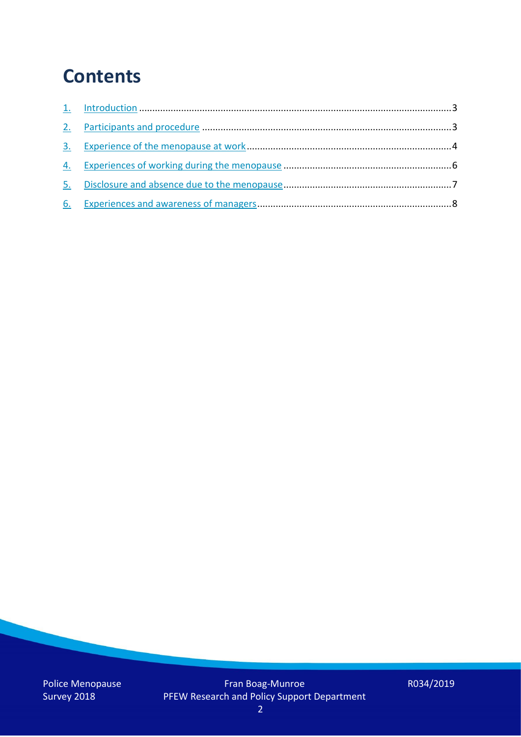### **Contents**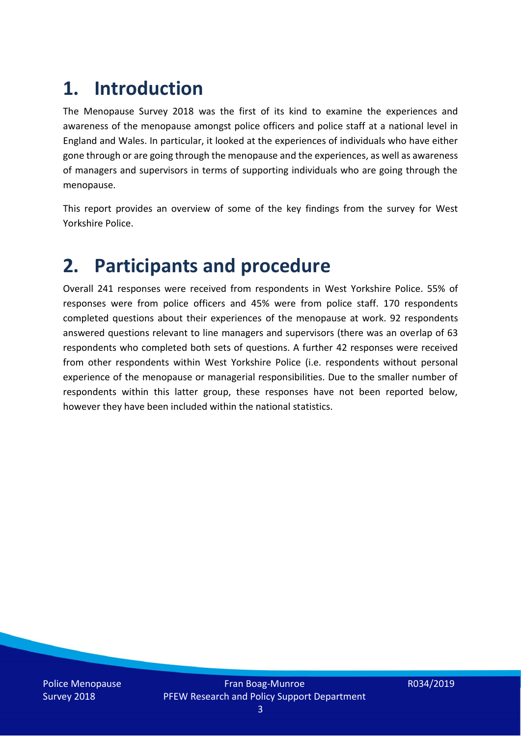## **1. Introduction**

The Menopause Survey 2018 was the first of its kind to examine the experiences and awareness of the menopause amongst police officers and police staff at a national level in England and Wales. In particular, it looked at the experiences of individuals who have either gone through or are going through the menopause and the experiences, as well as awareness of managers and supervisors in terms of supporting individuals who are going through the menopause.

This report provides an overview of some of the key findings from the survey for West Yorkshire Police.

### **2. Participants and procedure**

Overall 241 responses were received from respondents in West Yorkshire Police. 55% of responses were from police officers and 45% were from police staff. 170 respondents completed questions about their experiences of the menopause at work. 92 respondents answered questions relevant to line managers and supervisors (there was an overlap of 63 respondents who completed both sets of questions. A further 42 responses were received from other respondents within West Yorkshire Police (i.e. respondents without personal experience of the menopause or managerial responsibilities. Due to the smaller number of respondents within this latter group, these responses have not been reported below, however they have been included within the national statistics.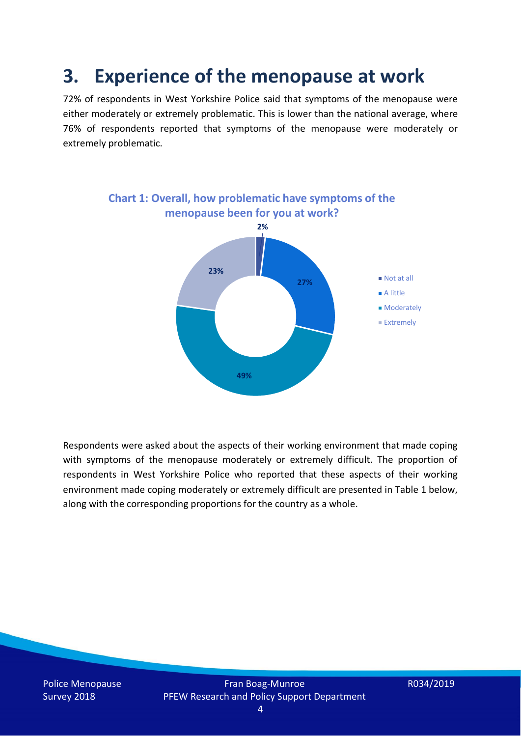### **3. Experience of the menopause at work**

72% of respondents in West Yorkshire Police said that symptoms of the menopause were either moderately or extremely problematic. This is lower than the national average, where 76% of respondents reported that symptoms of the menopause were moderately or extremely problematic.



Respondents were asked about the aspects of their working environment that made coping with symptoms of the menopause moderately or extremely difficult. The proportion of respondents in West Yorkshire Police who reported that these aspects of their working environment made coping moderately or extremely difficult are presented in Table 1 below, along with the corresponding proportions for the country as a whole.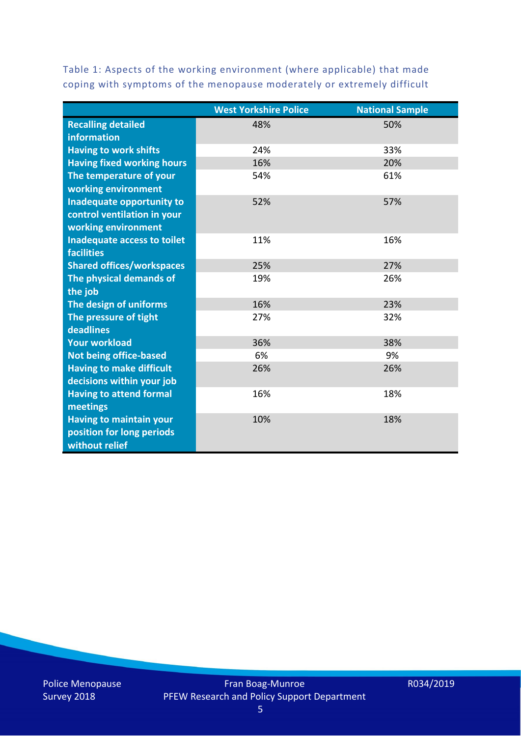Table 1: Aspects of the working environment (where applicable) that made coping with symptoms of the menopause moderately or extremely difficult

|                                   | <b>West Yorkshire Police</b> | <b>National Sample</b> |
|-----------------------------------|------------------------------|------------------------|
| <b>Recalling detailed</b>         | 48%                          | 50%                    |
| information                       |                              |                        |
| <b>Having to work shifts</b>      | 24%                          | 33%                    |
| <b>Having fixed working hours</b> | 16%                          | 20%                    |
| The temperature of your           | 54%                          | 61%                    |
| working environment               |                              |                        |
| Inadequate opportunity to         | 52%                          | 57%                    |
| control ventilation in your       |                              |                        |
| working environment               |                              |                        |
| Inadequate access to toilet       | 11%                          | 16%                    |
| <b>facilities</b>                 |                              |                        |
| <b>Shared offices/workspaces</b>  | 25%                          | 27%                    |
| The physical demands of           | 19%                          | 26%                    |
| the job                           |                              |                        |
| The design of uniforms            | 16%                          | 23%                    |
| The pressure of tight             | 27%                          | 32%                    |
| deadlines                         |                              |                        |
| <b>Your workload</b>              | 36%                          | 38%                    |
| <b>Not being office-based</b>     | 6%                           | 9%                     |
| <b>Having to make difficult</b>   | 26%                          | 26%                    |
| decisions within your job         |                              |                        |
| <b>Having to attend formal</b>    | 16%                          | 18%                    |
| meetings                          |                              |                        |
| <b>Having to maintain your</b>    | 10%                          | 18%                    |
| position for long periods         |                              |                        |
| without relief                    |                              |                        |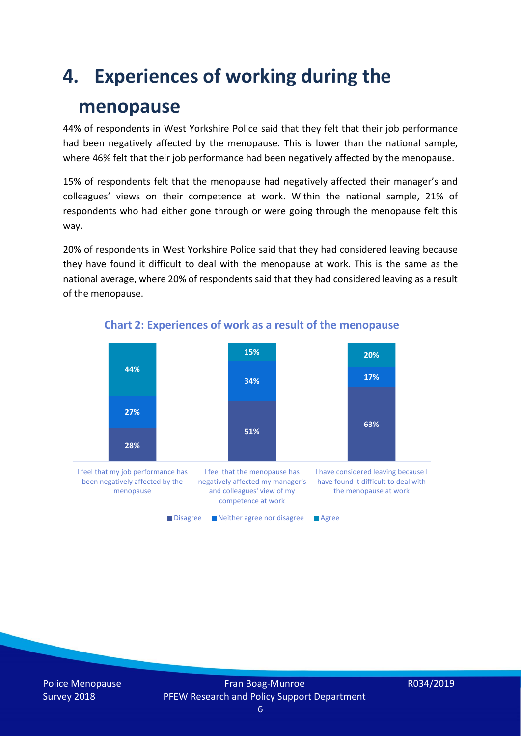### **4. Experiences of working during the**

### **menopause**

44% of respondents in West Yorkshire Police said that they felt that their job performance had been negatively affected by the menopause. This is lower than the national sample, where 46% felt that their job performance had been negatively affected by the menopause.

15% of respondents felt that the menopause had negatively affected their manager's and colleagues' views on their competence at work. Within the national sample, 21% of respondents who had either gone through or were going through the menopause felt this way.

20% of respondents in West Yorkshire Police said that they had considered leaving because they have found it difficult to deal with the menopause at work. This is the same as the national average, where 20% of respondents said that they had considered leaving as a result of the menopause.



#### **Chart 2: Experiences of work as a result of the menopause**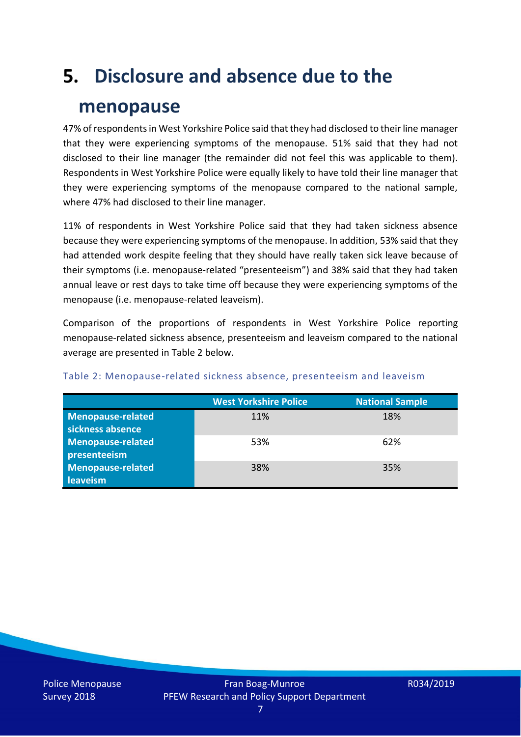# **5. Disclosure and absence due to the**

### **menopause**

47% of respondents in West Yorkshire Police said that they had disclosed to their line manager that they were experiencing symptoms of the menopause. 51% said that they had not disclosed to their line manager (the remainder did not feel this was applicable to them). Respondents in West Yorkshire Police were equally likely to have told their line manager that they were experiencing symptoms of the menopause compared to the national sample, where 47% had disclosed to their line manager.

11% of respondents in West Yorkshire Police said that they had taken sickness absence because they were experiencing symptoms of the menopause. In addition, 53% said that they had attended work despite feeling that they should have really taken sick leave because of their symptoms (i.e. menopause-related "presenteeism") and 38% said that they had taken annual leave or rest days to take time off because they were experiencing symptoms of the menopause (i.e. menopause-related leaveism).

Comparison of the proportions of respondents in West Yorkshire Police reporting menopause-related sickness absence, presenteeism and leaveism compared to the national average are presented in Table 2 below.

|                          | <b>West Yorkshire Police</b> | <b>National Sample</b> |
|--------------------------|------------------------------|------------------------|
| <b>Menopause-related</b> | 11%                          | 18%                    |
| sickness absence         |                              |                        |
| Menopause-related        | 53%                          | 62%                    |
| presenteeism             |                              |                        |
| Menopause-related        | 38%                          | 35%                    |
| leaveism                 |                              |                        |

#### Table 2: Menopause-related sickness absence, presenteeism and leaveism